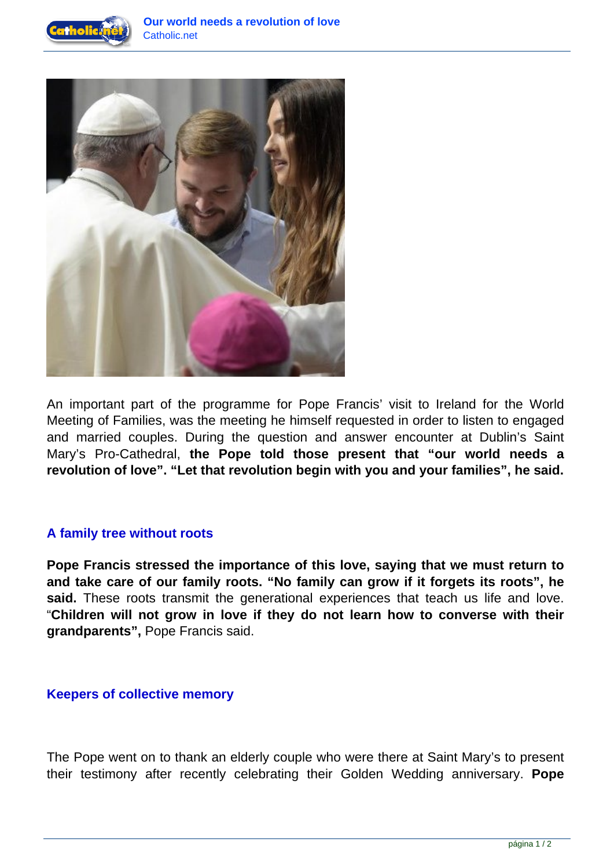



An important part of the programme for Pope Francis' visit to Ireland for the World Meeting of Families, was the meeting he himself requested in order to listen to engaged and married couples. During the question and answer encounter at Dublin's Saint Mary's Pro-Cathedral, **the Pope told those present that "our world needs a revolution of love". "Let that revolution begin with you and your families", he said.**

## **A family tree without roots**

**Pope Francis stressed the importance of this love, saying that we must return to and take care of our family roots. "No family can grow if it forgets its roots", he** said. These roots transmit the generational experiences that teach us life and love. "**Children will not grow in love if they do not learn how to converse with their grandparents",** Pope Francis said.

## **Keepers of collective memory**

The Pope went on to thank an elderly couple who were there at Saint Mary's to present their testimony after recently celebrating their Golden Wedding anniversary. **Pope**